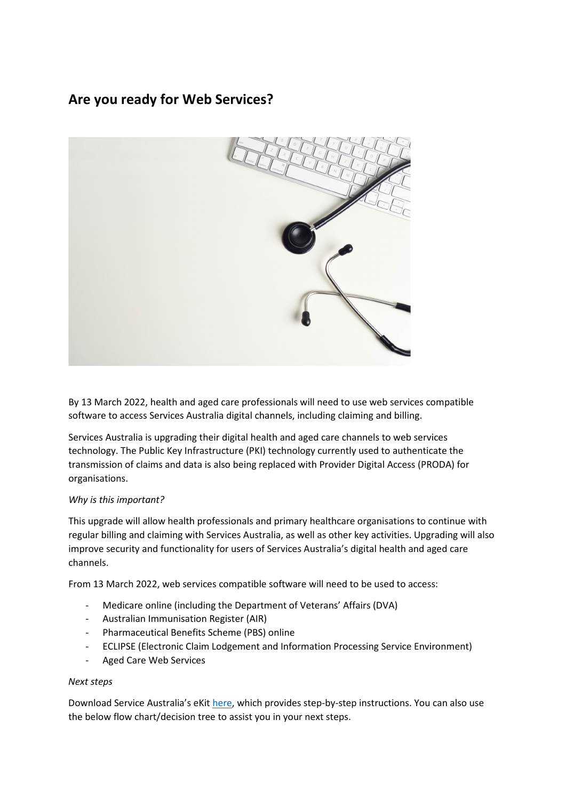## **Are you ready for Web Services?**



By 13 March 2022, health and aged care professionals will need to use web services compatible software to access Services Australia digital channels, including claiming and billing.

Services Australia is upgrading their digital health and aged care channels to web services technology. The Public Key Infrastructure (PKI) technology currently used to authenticate the transmission of claims and data is also being replaced with Provider Digital Access (PRODA) for organisations.

## *Why is this important?*

This upgrade will allow health professionals and primary healthcare organisations to continue with regular billing and claiming with Services Australia, as well as other key activities. Upgrading will also improve security and functionality for users of Services Australia's digital health and aged care channels.

From 13 March 2022, web services compatible software will need to be used to access:

- Medicare online (including the Department of Veterans' Affairs (DVA)
- Australian Immunisation Register (AIR)
- Pharmaceutical Benefits Scheme (PBS) online
- ECLIPSE (Electronic Claim Lodgement and Information Processing Service Environment)
- Aged Care Web Services

## *Next steps*

Download Service Australia's eKit [here,](https://www.servicesaustralia.gov.au/what-you-need-to-do-to-prepare-for-web-services?context=20) which provides step-by-step instructions. You can also use the below flow chart/decision tree to assist you in your next steps.